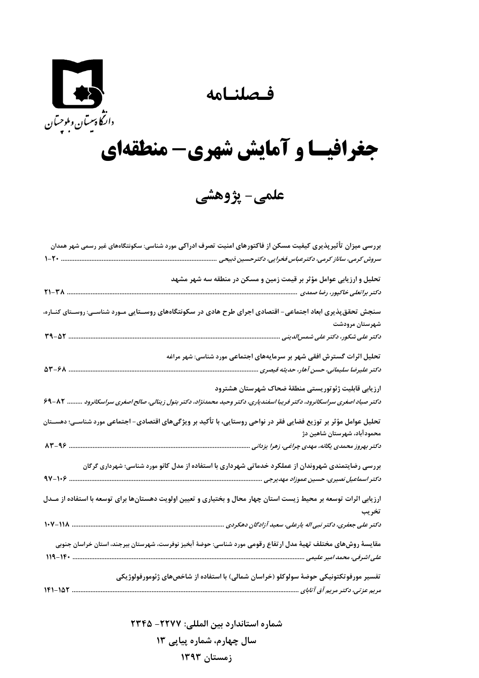**فـصلنـامه** 



## **جغرافيـا و آمايش شهري- منطقهاي**

**علمي- پژوهشي** 

| بررسی میزان تأثیرپذیری کیفیت مسکن از فاکتورهای امنیت تصرف ادراکی مورد شناسی: سکونتگاههای غیر رسمی شهر همدان                       |
|-----------------------------------------------------------------------------------------------------------------------------------|
| سروش کرمی، ساناز کرمی، دکترعباس فخرایی، دکترحسین ذبیحی                                                                            |
| تحلیل و ارزیابی عوامل مؤثر بر قیمت زمین و مسکن در منطقه سه شهر مشهد                                                               |
| $T1-TA$<br>د کتر براتعلی خاکپور، رضا صمدی                                                                                         |
| سنجش تحقق پذیری ابعاد اجتماعی– اقتصادی اجرای طرح هادی در سکونتگاههای روســتایی مـورد شناســی: روســتای کنــاره،                   |
| شهرستان مرودشت                                                                                                                    |
| ٣٩-۵٢<br>دکتر علی شکور، دکتر علی شمس/لدینی                                                                                        |
| تحلیل اثرات گسترش افقی شهر بر سرمایههای اجتماعی مورد شناسی: شهر مراغه                                                             |
| $\Delta Y - 8A$<br>دکتر علیرضا سلیمانی، حسن آهار، حدیثه قیصری                                                                     |
| ارزيابي قابليت ژئوتوريستي منطقة ضحاك شهرستان هشترود                                                                               |
| دکتر صیاد اصغری سراسکانرود، دکتر فریبا اسفندیاری، دکتر وحید محمدنژاد، دکتر بتول زینالی، صالح اصغری سراسکانرود<br>$99 - \Lambda 7$ |
| تحلیل عوامل مؤثر بر توزیع فضایی فقر در نواحی روستایی، با تأکید بر ویژگیهای اقتصادی– اجتماعی مورد شناسـی؛ دهســتان                 |
| محمودآباد، شهرستان شاهین دژ                                                                                                       |
| دکتر بهروز محمدی یگانه، مهدی چراغی، زهرا یزدانی                                                                                   |
| بررسی رضایتمندی شهروندان از عملکرد خدماتی شهرداری با استفاده از مدل کانو مورد شناسی؛ شهرداری گرگان                                |
| د کتر اسماعیل نصیری، حسین عموزاد مهدیرجی                                                                                          |
| ارزیابی اثرات توسعه بر محیط زیست استان چهار محال و بختیاری و تعیین اولویت دهستانها برای توسعه با استفاده از مــدل                 |
| تخريب                                                                                                                             |
| $1 - 11$<br>دکتر علی جعفری، دکتر نبی اله یارعلی، سعید آزادگان دهکردی                                                              |
| مقایسهٔ روشهای مختلف تهیهٔ مدل ارتفاع رقومی مورد شناسی: حوضهٔ آبخیز نوفرست، شهرستان بیرجند، استان خراسان جنوبی                    |
| $119 - 19$<br>على اشرفى، محمد امير عليمى                                                                                          |
| تفسیر مورفوتکتونیکی حوضهٔ سولوکلو (خراسان شمالی) با استفاده از شاخصهای ژئومورفولوژیکی                                             |
| $1F1-1\Delta Y$                                                                                                                   |
|                                                                                                                                   |

**شماره استاندارد بين المللي: -2277 2345 سال چهارم، شماره پياپي 13 زمستان 1393**